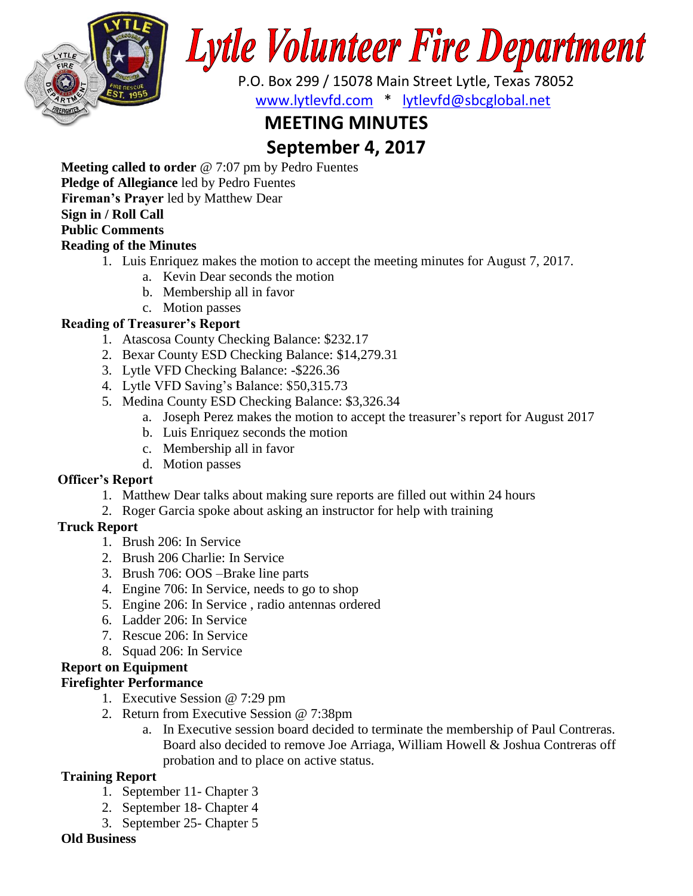

# Lytle Volunteer Fire Department

 P.O. Box 299 / 15078 Main Street Lytle, Texas 78052 [www.lytlevfd.com](http://www.lytlevfd.com/) \* [lytlevfd@sbcglobal.net](mailto:lytlevfd@sbcglobal.net)

# **MEETING MINUTES**

# **September 4, 2017**

**Meeting called to order** @ 7:07 pm by Pedro Fuentes

**Pledge of Allegiance** led by Pedro Fuentes

**Fireman's Prayer** led by Matthew Dear

# **Sign in / Roll Call**

### **Public Comments**

# **Reading of the Minutes**

- 1. Luis Enriquez makes the motion to accept the meeting minutes for August 7, 2017.
	- a. Kevin Dear seconds the motion
	- b. Membership all in favor
	- c. Motion passes
- **Reading of Treasurer's Report**
	- 1. Atascosa County Checking Balance: \$232.17
	- 2. Bexar County ESD Checking Balance: \$14,279.31
	- 3. Lytle VFD Checking Balance: -\$226.36
	- 4. Lytle VFD Saving's Balance: \$50,315.73
	- 5. Medina County ESD Checking Balance: \$3,326.34
		- a. Joseph Perez makes the motion to accept the treasurer's report for August 2017
		- b. Luis Enriquez seconds the motion
		- c. Membership all in favor
		- d. Motion passes

# **Officer's Report**

- 1. Matthew Dear talks about making sure reports are filled out within 24 hours
- 2. Roger Garcia spoke about asking an instructor for help with training

# **Truck Report**

- 1. Brush 206: In Service
- 2. Brush 206 Charlie: In Service
- 3. Brush 706: OOS –Brake line parts
- 4. Engine 706: In Service, needs to go to shop
- 5. Engine 206: In Service , radio antennas ordered
- 6. Ladder 206: In Service
- 7. Rescue 206: In Service
- 8. Squad 206: In Service

# **Report on Equipment**

# **Firefighter Performance**

- 1. Executive Session @ 7:29 pm
- 2. Return from Executive Session @ 7:38pm
	- a. In Executive session board decided to terminate the membership of Paul Contreras. Board also decided to remove Joe Arriaga, William Howell & Joshua Contreras off probation and to place on active status.

# **Training Report**

- 1. September 11- Chapter 3
- 2. September 18- Chapter 4
- 3. September 25- Chapter 5

#### **Old Business**